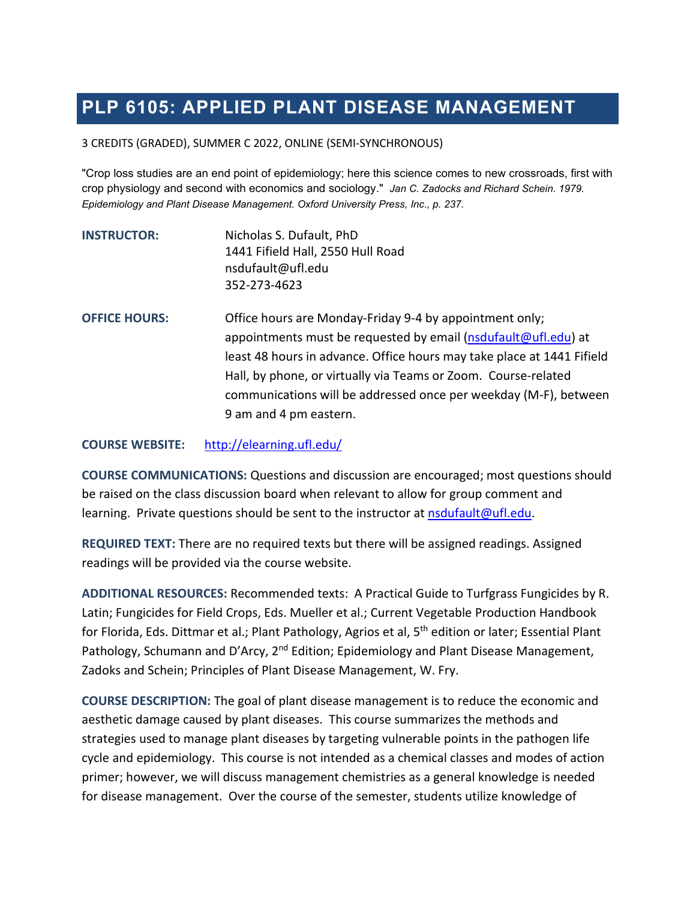# **PLP 6105: APPLIED PLANT DISEASE MANAGEMENT**

3 CREDITS (GRADED), SUMMER C 2022, ONLINE (SEMI-SYNCHRONOUS)

"Crop loss studies are an end point of epidemiology; here this science comes to new crossroads, first with crop physiology and second with economics and sociology." *Jan C. Zadocks and Richard Schein. 1979. Epidemiology and Plant Disease Management. Oxford University Press, Inc., p. 237.*

| <b>INSTRUCTOR:</b> | Nicholas S. Dufault, PhD          |
|--------------------|-----------------------------------|
|                    | 1441 Fifield Hall, 2550 Hull Road |
|                    | nsdufault@ufl.edu                 |
|                    | 352-273-4623                      |

**OFFICE HOURS:** Office hours are Monday-Friday 9-4 by appointment only; appointments must be requested by email [\(nsdufault@ufl.edu\)](mailto:nsdufault@ufl.edu) at least 48 hours in advance. Office hours may take place at 1441 Fifield Hall, by phone, or virtually via Teams or Zoom. Course-related communications will be addressed once per weekday (M-F), between 9 am and 4 pm eastern.

**COURSE WEBSITE:** <http://elearning.ufl.edu/>

**COURSE COMMUNICATIONS:** Questions and discussion are encouraged; most questions should be raised on the class discussion board when relevant to allow for group comment and learning. Private questions should be sent to the instructor at **nsdufault@ufl.edu**.

**REQUIRED TEXT:** There are no required texts but there will be assigned readings. Assigned readings will be provided via the course website.

**ADDITIONAL RESOURCES:** Recommended texts: A Practical Guide to Turfgrass Fungicides by R. Latin; Fungicides for Field Crops, Eds. Mueller et al.; Current Vegetable Production Handbook for Florida, Eds. Dittmar et al.; Plant Pathology, Agrios et al, 5<sup>th</sup> edition or later; Essential Plant Pathology, Schumann and D'Arcy, 2<sup>nd</sup> Edition; Epidemiology and Plant Disease Management, Zadoks and Schein; Principles of Plant Disease Management, W. Fry.

**COURSE DESCRIPTION:** The goal of plant disease management is to reduce the economic and aesthetic damage caused by plant diseases. This course summarizes the methods and strategies used to manage plant diseases by targeting vulnerable points in the pathogen life cycle and epidemiology. This course is not intended as a chemical classes and modes of action primer; however, we will discuss management chemistries as a general knowledge is needed for disease management. Over the course of the semester, students utilize knowledge of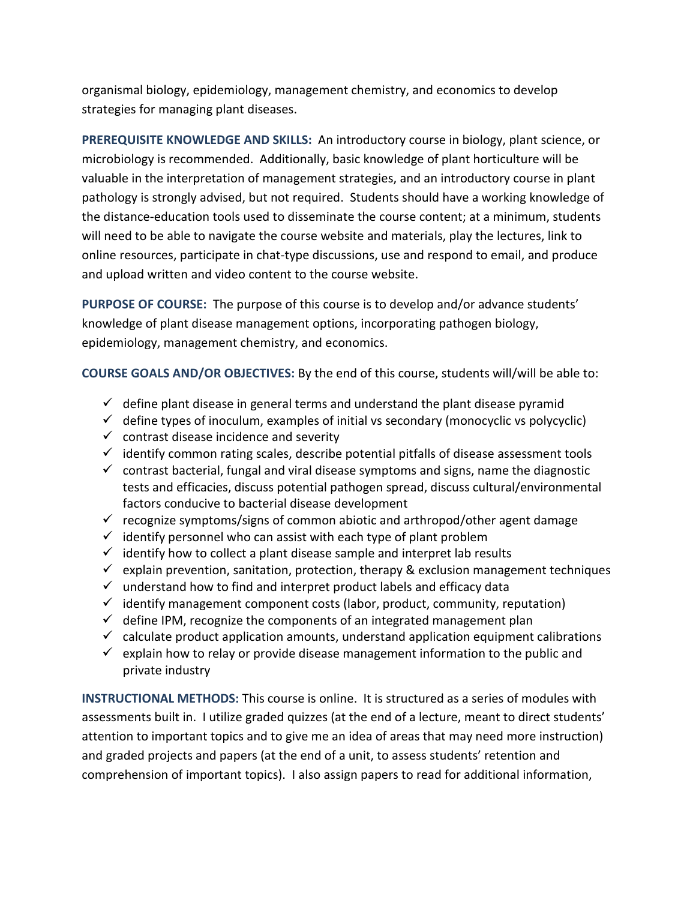organismal biology, epidemiology, management chemistry, and economics to develop strategies for managing plant diseases.

**PREREQUISITE KNOWLEDGE AND SKILLS:** An introductory course in biology, plant science, or microbiology is recommended. Additionally, basic knowledge of plant horticulture will be valuable in the interpretation of management strategies, and an introductory course in plant pathology is strongly advised, but not required. Students should have a working knowledge of the distance-education tools used to disseminate the course content; at a minimum, students will need to be able to navigate the course website and materials, play the lectures, link to online resources, participate in chat-type discussions, use and respond to email, and produce and upload written and video content to the course website.

**PURPOSE OF COURSE:** The purpose of this course is to develop and/or advance students' knowledge of plant disease management options, incorporating pathogen biology, epidemiology, management chemistry, and economics.

**COURSE GOALS AND/OR OBJECTIVES:** By the end of this course, students will/will be able to:

- $\checkmark$  define plant disease in general terms and understand the plant disease pyramid
- $\checkmark$  define types of inoculum, examples of initial vs secondary (monocyclic vs polycyclic)
- $\checkmark$  contrast disease incidence and severity
- $\checkmark$  identify common rating scales, describe potential pitfalls of disease assessment tools
- $\checkmark$  contrast bacterial, fungal and viral disease symptoms and signs, name the diagnostic tests and efficacies, discuss potential pathogen spread, discuss cultural/environmental factors conducive to bacterial disease development
- $\checkmark$  recognize symptoms/signs of common abiotic and arthropod/other agent damage
- $\checkmark$  identify personnel who can assist with each type of plant problem
- $\checkmark$  identify how to collect a plant disease sample and interpret lab results
- $\checkmark$  explain prevention, sanitation, protection, therapy & exclusion management techniques
- $\checkmark$  understand how to find and interpret product labels and efficacy data
- $\checkmark$  identify management component costs (labor, product, community, reputation)
- $\checkmark$  define IPM, recognize the components of an integrated management plan
- $\checkmark$  calculate product application amounts, understand application equipment calibrations
- $\checkmark$  explain how to relay or provide disease management information to the public and private industry

**INSTRUCTIONAL METHODS:** This course is online. It is structured as a series of modules with assessments built in. I utilize graded quizzes (at the end of a lecture, meant to direct students' attention to important topics and to give me an idea of areas that may need more instruction) and graded projects and papers (at the end of a unit, to assess students' retention and comprehension of important topics). I also assign papers to read for additional information,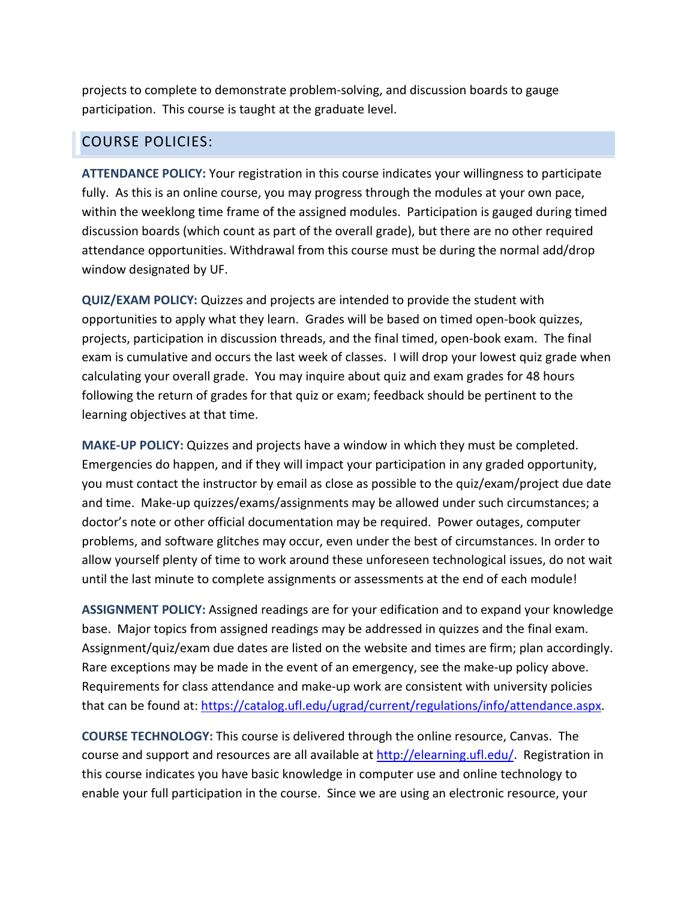projects to complete to demonstrate problem-solving, and discussion boards to gauge participation. This course is taught at the graduate level.

#### COURSE POLICIES:

**ATTENDANCE POLICY:** Your registration in this course indicates your willingness to participate fully. As this is an online course, you may progress through the modules at your own pace, within the weeklong time frame of the assigned modules. Participation is gauged during timed discussion boards (which count as part of the overall grade), but there are no other required attendance opportunities. Withdrawal from this course must be during the normal add/drop window designated by UF.

**QUIZ/EXAM POLICY:** Quizzes and projects are intended to provide the student with opportunities to apply what they learn. Grades will be based on timed open-book quizzes, projects, participation in discussion threads, and the final timed, open-book exam. The final exam is cumulative and occurs the last week of classes. I will drop your lowest quiz grade when calculating your overall grade. You may inquire about quiz and exam grades for 48 hours following the return of grades for that quiz or exam; feedback should be pertinent to the learning objectives at that time.

**MAKE-UP POLICY:** Quizzes and projects have a window in which they must be completed. Emergencies do happen, and if they will impact your participation in any graded opportunity, you must contact the instructor by email as close as possible to the quiz/exam/project due date and time. Make-up quizzes/exams/assignments may be allowed under such circumstances; a doctor's note or other official documentation may be required. Power outages, computer problems, and software glitches may occur, even under the best of circumstances. In order to allow yourself plenty of time to work around these unforeseen technological issues, do not wait until the last minute to complete assignments or assessments at the end of each module!

**ASSIGNMENT POLICY:** Assigned readings are for your edification and to expand your knowledge base. Major topics from assigned readings may be addressed in quizzes and the final exam. Assignment/quiz/exam due dates are listed on the website and times are firm; plan accordingly. Rare exceptions may be made in the event of an emergency, see the make-up policy above. Requirements for class attendance and make-up work are consistent with university policies that can be found at: [https://catalog.ufl.edu/ugrad/current/regulations/info/attendance.aspx.](https://catalog.ufl.edu/ugrad/current/regulations/info/attendance.aspx)

**COURSE TECHNOLOGY:** This course is delivered through the online resource, Canvas. The course and support and resources are all available at [http://elearning.ufl.edu/.](http://elearning.ufl.edu/) Registration in this course indicates you have basic knowledge in computer use and online technology to enable your full participation in the course. Since we are using an electronic resource, your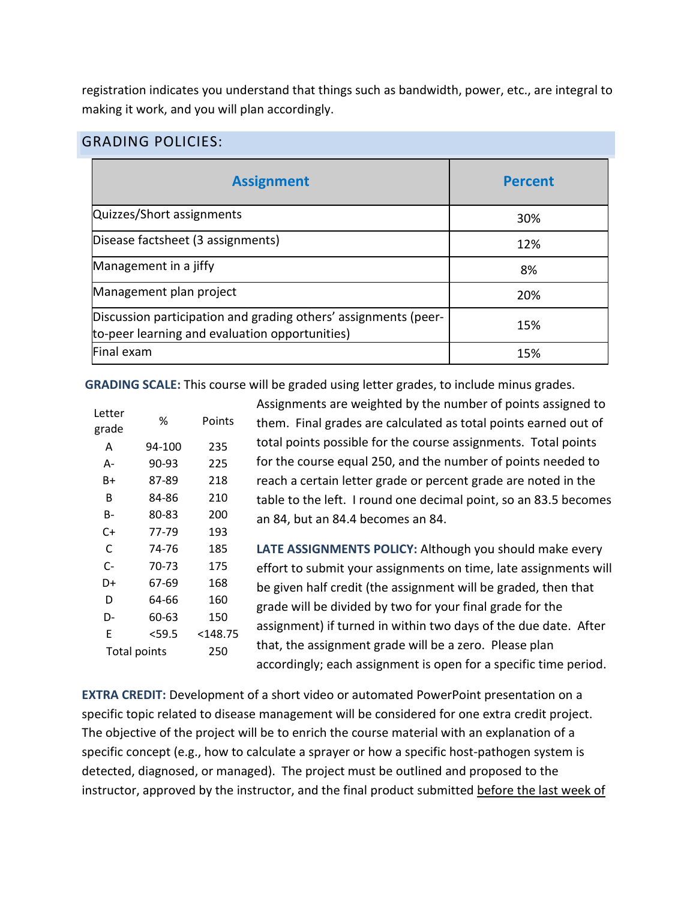registration indicates you understand that things such as bandwidth, power, etc., are integral to making it work, and you will plan accordingly.

#### GRADING POLICIES:

| <b>Assignment</b>                                                                                                 | <b>Percent</b> |
|-------------------------------------------------------------------------------------------------------------------|----------------|
| Quizzes/Short assignments                                                                                         | 30%            |
| Disease factsheet (3 assignments)                                                                                 | 12%            |
| Management in a jiffy                                                                                             | 8%             |
| Management plan project                                                                                           | 20%            |
| Discussion participation and grading others' assignments (peer-<br>to-peer learning and evaluation opportunities) | 15%            |
| Final exam                                                                                                        | 15%            |

**GRADING SCALE:** This course will be graded using letter grades, to include minus grades.

| Letter<br>grade     | ℅      | Points     |
|---------------------|--------|------------|
| А                   | 94-100 | 235        |
| А-                  | 90-93  | 225        |
| B+                  | 87-89  | 218        |
| R                   | 84-86  | 210        |
| в-                  | 80-83  | 200        |
| C+                  | 77-79  | 193        |
| C                   | 74-76  | 185        |
| C-                  | 70-73  | 175        |
| D+                  | 67-69  | 168        |
| D                   | 64-66  | 160        |
| D-                  | 60-63  | 150        |
| F                   | <59.5  | $<$ 148.75 |
| <b>Total points</b> |        | 250        |
|                     |        |            |

Assignments are weighted by the number of points assigned to them. Final grades are calculated as total points earned out of total points possible for the course assignments. Total points for the course equal 250, and the number of points needed to reach a certain letter grade or percent grade are noted in the table to the left. I round one decimal point, so an 83.5 becomes an 84, but an 84.4 becomes an 84.

**LATE ASSIGNMENTS POLICY:** Although you should make every effort to submit your assignments on time, late assignments will be given half credit (the assignment will be graded, then that grade will be divided by two for your final grade for the assignment) if turned in within two days of the due date. After that, the assignment grade will be a zero. Please plan accordingly; each assignment is open for a specific time period.

**EXTRA CREDIT:** Development of a short video or automated PowerPoint presentation on a specific topic related to disease management will be considered for one extra credit project. The objective of the project will be to enrich the course material with an explanation of a specific concept (e.g., how to calculate a sprayer or how a specific host-pathogen system is detected, diagnosed, or managed). The project must be outlined and proposed to the instructor, approved by the instructor, and the final product submitted before the last week of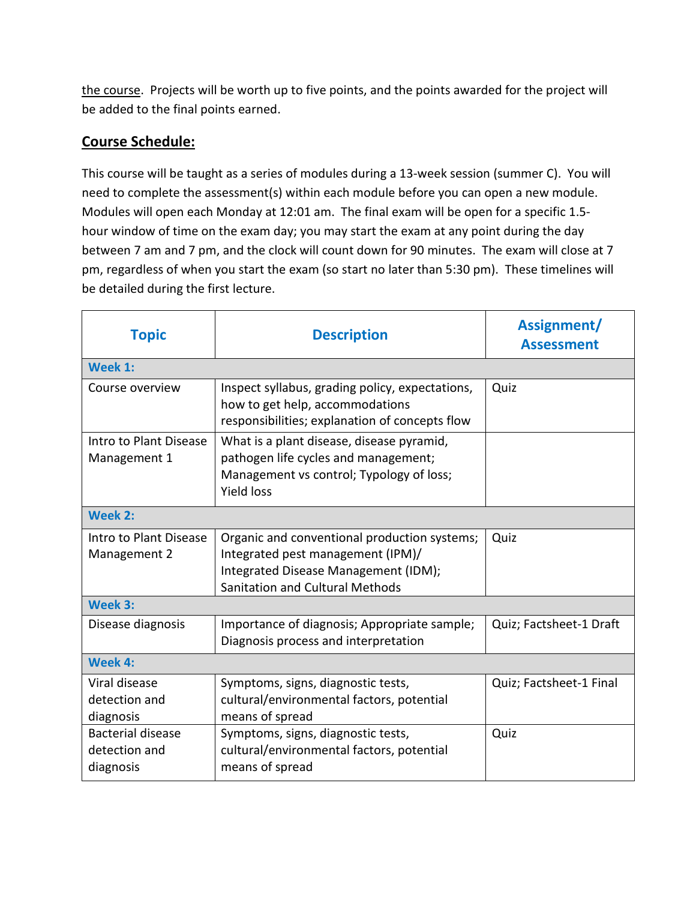the course. Projects will be worth up to five points, and the points awarded for the project will be added to the final points earned.

## **Course Schedule:**

This course will be taught as a series of modules during a 13-week session (summer C). You will need to complete the assessment(s) within each module before you can open a new module. Modules will open each Monday at 12:01 am. The final exam will be open for a specific 1.5 hour window of time on the exam day; you may start the exam at any point during the day between 7 am and 7 pm, and the clock will count down for 90 minutes. The exam will close at 7 pm, regardless of when you start the exam (so start no later than 5:30 pm). These timelines will be detailed during the first lecture.

| <b>Topic</b>                                           | <b>Description</b>                                                                                                                                           | Assignment/<br><b>Assessment</b> |
|--------------------------------------------------------|--------------------------------------------------------------------------------------------------------------------------------------------------------------|----------------------------------|
| Week 1:                                                |                                                                                                                                                              |                                  |
| Course overview                                        | Inspect syllabus, grading policy, expectations,<br>how to get help, accommodations<br>responsibilities; explanation of concepts flow                         | Quiz                             |
| Intro to Plant Disease<br>Management 1                 | What is a plant disease, disease pyramid,<br>pathogen life cycles and management;<br>Management vs control; Typology of loss;<br><b>Yield loss</b>           |                                  |
| Week 2:                                                |                                                                                                                                                              |                                  |
| Intro to Plant Disease<br>Management 2                 | Organic and conventional production systems;<br>Integrated pest management (IPM)/<br>Integrated Disease Management (IDM);<br>Sanitation and Cultural Methods | Quiz                             |
| Week 3:                                                |                                                                                                                                                              |                                  |
| Disease diagnosis                                      | Importance of diagnosis; Appropriate sample;<br>Diagnosis process and interpretation                                                                         | Quiz; Factsheet-1 Draft          |
| Week 4:                                                |                                                                                                                                                              |                                  |
| Viral disease<br>detection and<br>diagnosis            | Symptoms, signs, diagnostic tests,<br>cultural/environmental factors, potential<br>means of spread                                                           | Quiz; Factsheet-1 Final          |
| <b>Bacterial disease</b><br>detection and<br>diagnosis | Symptoms, signs, diagnostic tests,<br>cultural/environmental factors, potential<br>means of spread                                                           | Quiz                             |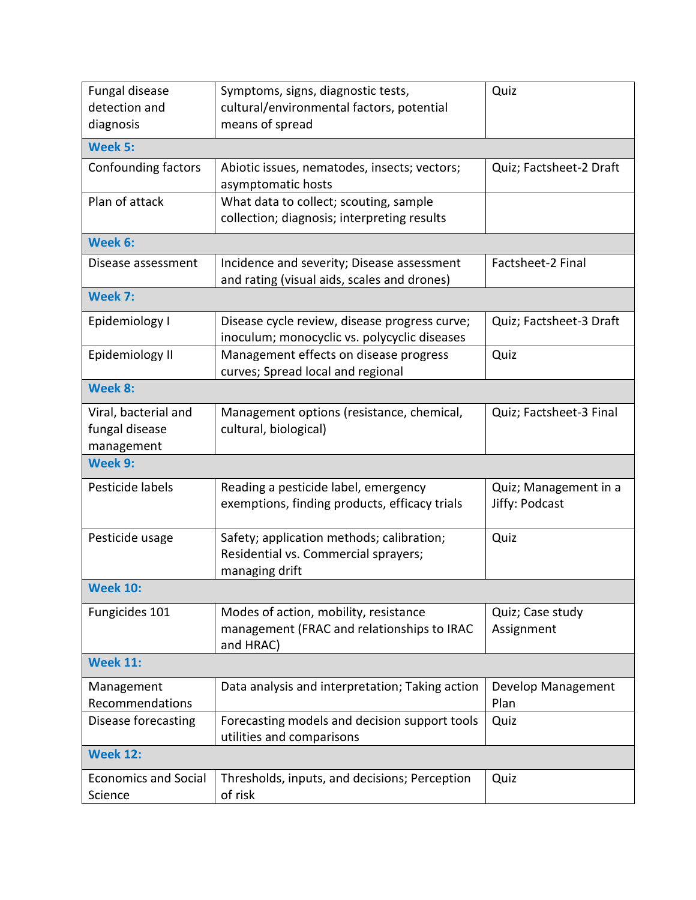| Fungal disease              | Symptoms, signs, diagnostic tests,                                                | Quiz                    |
|-----------------------------|-----------------------------------------------------------------------------------|-------------------------|
| detection and               | cultural/environmental factors, potential                                         |                         |
| diagnosis                   | means of spread                                                                   |                         |
| <b>Week 5:</b>              |                                                                                   |                         |
| Confounding factors         | Abiotic issues, nematodes, insects; vectors;                                      | Quiz; Factsheet-2 Draft |
|                             | asymptomatic hosts                                                                |                         |
| Plan of attack              | What data to collect; scouting, sample                                            |                         |
|                             | collection; diagnosis; interpreting results                                       |                         |
| Week 6:                     |                                                                                   |                         |
| Disease assessment          | Incidence and severity; Disease assessment                                        | Factsheet-2 Final       |
|                             | and rating (visual aids, scales and drones)                                       |                         |
| Week 7:                     |                                                                                   |                         |
| Epidemiology I              | Disease cycle review, disease progress curve;                                     | Quiz; Factsheet-3 Draft |
|                             | inoculum; monocyclic vs. polycyclic diseases                                      |                         |
| Epidemiology II             | Management effects on disease progress                                            | Quiz                    |
|                             | curves; Spread local and regional                                                 |                         |
| Week 8:                     |                                                                                   |                         |
| Viral, bacterial and        | Management options (resistance, chemical,                                         | Quiz; Factsheet-3 Final |
| fungal disease              | cultural, biological)                                                             |                         |
| management                  |                                                                                   |                         |
| Week 9:                     |                                                                                   |                         |
| Pesticide labels            | Reading a pesticide label, emergency                                              | Quiz; Management in a   |
|                             | exemptions, finding products, efficacy trials                                     | Jiffy: Podcast          |
|                             |                                                                                   |                         |
| Pesticide usage             | Safety; application methods; calibration;<br>Residential vs. Commercial sprayers; | Quiz                    |
|                             | managing drift                                                                    |                         |
| <b>Week 10:</b>             |                                                                                   |                         |
| Fungicides 101              | Modes of action, mobility, resistance                                             | Quiz; Case study        |
|                             | management (FRAC and relationships to IRAC                                        | Assignment              |
|                             | and HRAC)                                                                         |                         |
| <b>Week 11:</b>             |                                                                                   |                         |
| Management                  | Data analysis and interpretation; Taking action                                   | Develop Management      |
| Recommendations             |                                                                                   | Plan                    |
| Disease forecasting         | Forecasting models and decision support tools                                     | Quiz                    |
|                             | utilities and comparisons                                                         |                         |
| <b>Week 12:</b>             |                                                                                   |                         |
| <b>Economics and Social</b> | Thresholds, inputs, and decisions; Perception                                     | Quiz                    |
| Science                     | of risk                                                                           |                         |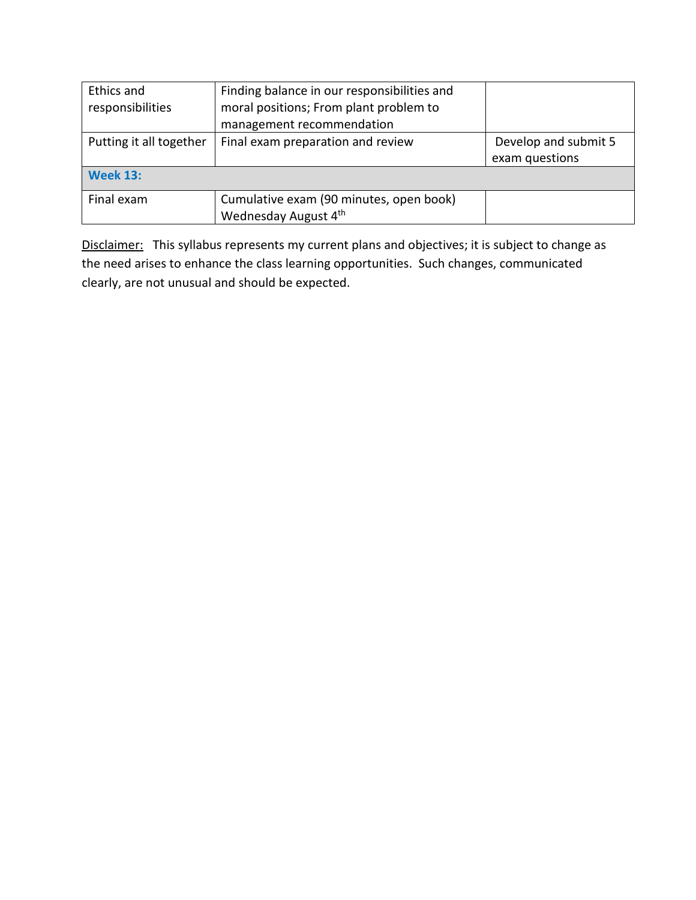| Ethics and<br>responsibilities | Finding balance in our responsibilities and<br>moral positions; From plant problem to<br>management recommendation |                                        |
|--------------------------------|--------------------------------------------------------------------------------------------------------------------|----------------------------------------|
| Putting it all together        | Final exam preparation and review                                                                                  | Develop and submit 5<br>exam questions |
| <b>Week 13:</b>                |                                                                                                                    |                                        |
| Final exam                     | Cumulative exam (90 minutes, open book)<br>Wednesday August 4th                                                    |                                        |

Disclaimer:This syllabus represents my current plans and objectives; it is subject to change as the need arises to enhance the class learning opportunities. Such changes, communicated clearly, are not unusual and should be expected.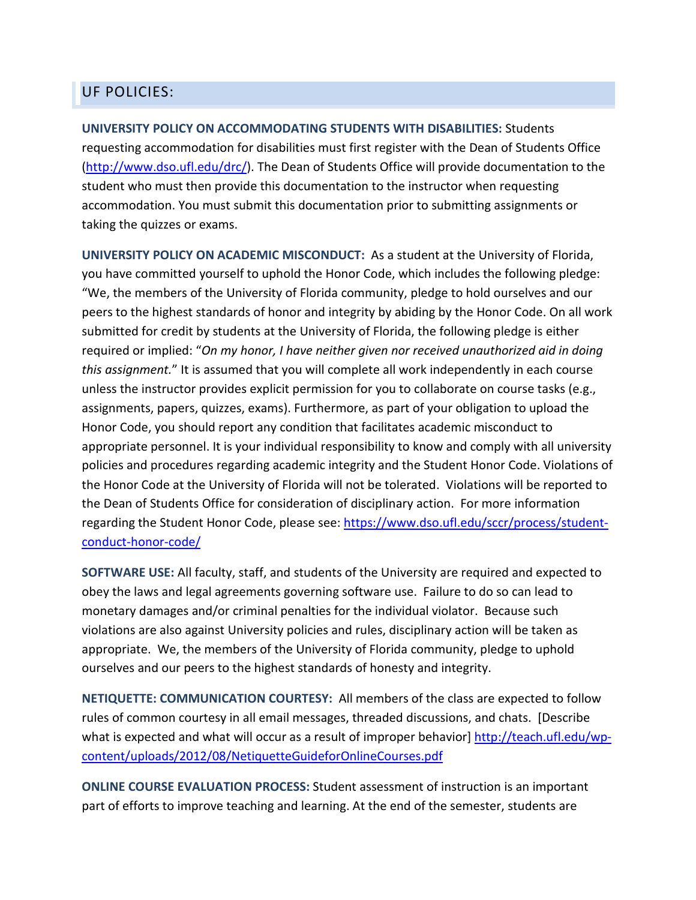### UF POLICIES:

**UNIVERSITY POLICY ON ACCOMMODATING STUDENTS WITH DISABILITIES:** Students requesting accommodation for disabilities must first register with the Dean of Students Office [\(http://www.dso.ufl.edu/drc/\)](http://www.dso.ufl.edu/drc/). The Dean of Students Office will provide documentation to the student who must then provide this documentation to the instructor when requesting accommodation. You must submit this documentation prior to submitting assignments or taking the quizzes or exams.

**UNIVERSITY POLICY ON ACADEMIC MISCONDUCT:** As a student at the University of Florida, you have committed yourself to uphold the Honor Code, which includes the following pledge: "We, the members of the University of Florida community, pledge to hold ourselves and our peers to the highest standards of honor and integrity by abiding by the Honor Code. On all work submitted for credit by students at the University of Florida, the following pledge is either required or implied: "*On my honor, I have neither given nor received unauthorized aid in doing this assignment.*" It is assumed that you will complete all work independently in each course unless the instructor provides explicit permission for you to collaborate on course tasks (e.g., assignments, papers, quizzes, exams). Furthermore, as part of your obligation to upload the Honor Code, you should report any condition that facilitates academic misconduct to appropriate personnel. It is your individual responsibility to know and comply with all university policies and procedures regarding academic integrity and the Student Honor Code. Violations of the Honor Code at the University of Florida will not be tolerated. Violations will be reported to the Dean of Students Office for consideration of disciplinary action. For more information regarding the Student Honor Code, please see: [https://www.dso.ufl.edu/sccr/process/student](https://www.dso.ufl.edu/sccr/process/student-conduct-honor-code/)[conduct-honor-code/](https://www.dso.ufl.edu/sccr/process/student-conduct-honor-code/)

**SOFTWARE USE:** All faculty, staff, and students of the University are required and expected to obey the laws and legal agreements governing software use. Failure to do so can lead to monetary damages and/or criminal penalties for the individual violator. Because such violations are also against University policies and rules, disciplinary action will be taken as appropriate. We, the members of the University of Florida community, pledge to uphold ourselves and our peers to the highest standards of honesty and integrity.

**NETIQUETTE: COMMUNICATION COURTESY:** All members of the class are expected to follow rules of common courtesy in all email messages, threaded discussions, and chats. [Describe what is expected and what will occur as a result of improper behavior] [http://teach.ufl.edu/wp](http://teach.ufl.edu/wp-content/uploads/2012/08/NetiquetteGuideforOnlineCourses.pdf)[content/uploads/2012/08/NetiquetteGuideforOnlineCourses.pdf](http://teach.ufl.edu/wp-content/uploads/2012/08/NetiquetteGuideforOnlineCourses.pdf)

**ONLINE COURSE EVALUATION PROCESS:** Student assessment of instruction is an important part of efforts to improve teaching and learning. At the end of the semester, students are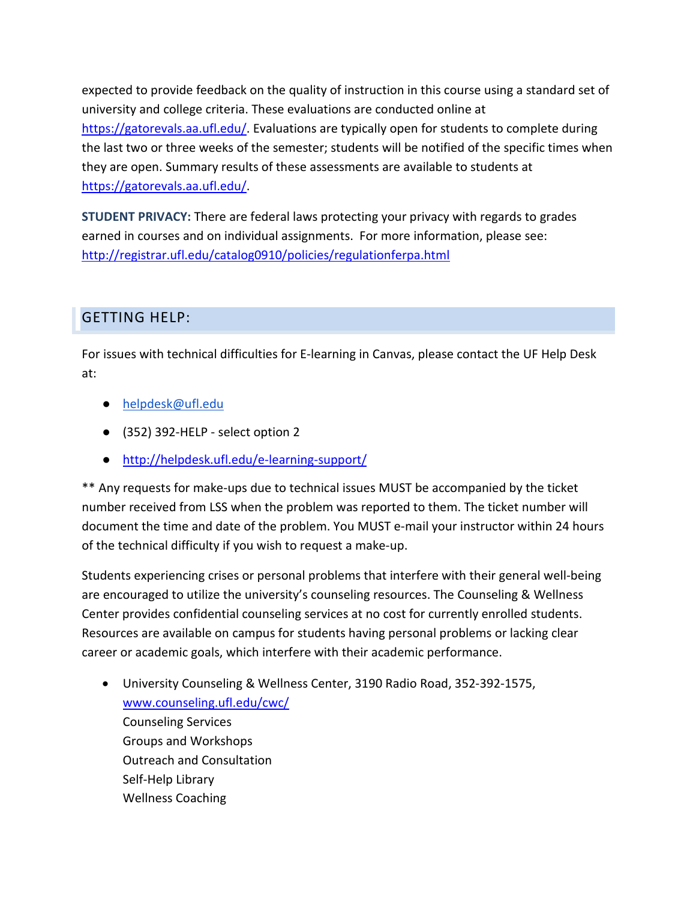expected to provide feedback on the quality of instruction in this course using a standard set of university and college criteria. These evaluations are conducted online at [https://gatorevals.aa.ufl.edu/.](https://gatorevals.aa.ufl.edu/) Evaluations are typically open for students to complete during the last two or three weeks of the semester; students will be notified of the specific times when they are open. Summary results of these assessments are available to students at [https://gatorevals.aa.ufl.edu/.](https://gatorevals.aa.ufl.edu/)

**STUDENT PRIVACY:** There are federal laws protecting your privacy with regards to grades earned in courses and on individual assignments. For more information, please see: <http://registrar.ufl.edu/catalog0910/policies/regulationferpa.html>

## GETTING HELP:

For issues with technical difficulties for E-learning in Canvas, please contact the UF Help Desk at:

- helpdesk@ufl.edu
- (352) 392-HELP select option 2
- <http://helpdesk.ufl.edu/e-learning-support/>

\*\* Any requests for make-ups due to technical issues MUST be accompanied by the ticket number received from LSS when the problem was reported to them. The ticket number will document the time and date of the problem. You MUST e-mail your instructor within 24 hours of the technical difficulty if you wish to request a make-up.

Students experiencing crises or personal problems that interfere with their general well-being are encouraged to utilize the university's counseling resources. The Counseling & Wellness Center provides confidential counseling services at no cost for currently enrolled students. Resources are available on campus for students having personal problems or lacking clear career or academic goals, which interfere with their academic performance.

• University Counseling & Wellness Center, 3190 Radio Road, 352-392-1575, [www.counseling.ufl.edu/cwc/](http://www.counseling.ufl.edu/cwc/) Counseling Services Groups and Workshops Outreach and Consultation Self-Help Library Wellness Coaching